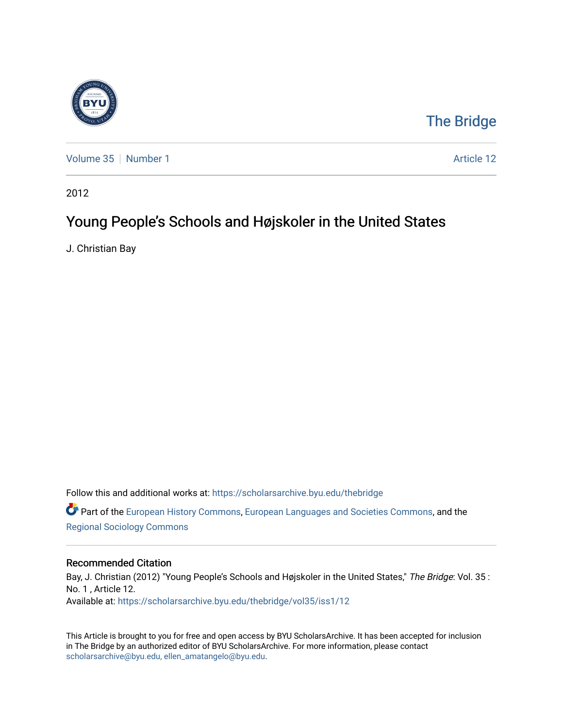

## [The Bridge](https://scholarsarchive.byu.edu/thebridge)

[Volume 35](https://scholarsarchive.byu.edu/thebridge/vol35) [Number 1](https://scholarsarchive.byu.edu/thebridge/vol35/iss1) Article 12

2012

## Young People's Schools and Højskoler in the United States

J. Christian Bay

Follow this and additional works at: [https://scholarsarchive.byu.edu/thebridge](https://scholarsarchive.byu.edu/thebridge?utm_source=scholarsarchive.byu.edu%2Fthebridge%2Fvol35%2Fiss1%2F12&utm_medium=PDF&utm_campaign=PDFCoverPages) 

**C** Part of the [European History Commons](http://network.bepress.com/hgg/discipline/492?utm_source=scholarsarchive.byu.edu%2Fthebridge%2Fvol35%2Fiss1%2F12&utm_medium=PDF&utm_campaign=PDFCoverPages), [European Languages and Societies Commons,](http://network.bepress.com/hgg/discipline/482?utm_source=scholarsarchive.byu.edu%2Fthebridge%2Fvol35%2Fiss1%2F12&utm_medium=PDF&utm_campaign=PDFCoverPages) and the [Regional Sociology Commons](http://network.bepress.com/hgg/discipline/427?utm_source=scholarsarchive.byu.edu%2Fthebridge%2Fvol35%2Fiss1%2F12&utm_medium=PDF&utm_campaign=PDFCoverPages) 

## Recommended Citation

Bay, J. Christian (2012) "Young People's Schools and Højskoler in the United States," The Bridge: Vol. 35 : No. 1 , Article 12. Available at: [https://scholarsarchive.byu.edu/thebridge/vol35/iss1/12](https://scholarsarchive.byu.edu/thebridge/vol35/iss1/12?utm_source=scholarsarchive.byu.edu%2Fthebridge%2Fvol35%2Fiss1%2F12&utm_medium=PDF&utm_campaign=PDFCoverPages)

This Article is brought to you for free and open access by BYU ScholarsArchive. It has been accepted for inclusion in The Bridge by an authorized editor of BYU ScholarsArchive. For more information, please contact [scholarsarchive@byu.edu, ellen\\_amatangelo@byu.edu](mailto:scholarsarchive@byu.edu,%20ellen_amatangelo@byu.edu).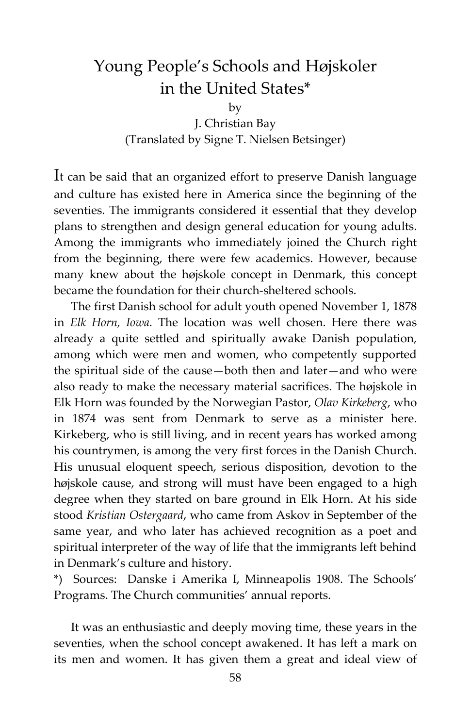## Young People's Schools and Højskoler in the United States\*

by

J. Christian Bay (Translated by Signe T. Nielsen Betsinger)

It can be said that an organized effort to preserve Danish language and culture has existed here in America since the beginning of the seventies. The immigrants considered it essential that they develop plans to strengthen and design general education for young adults. Among the immigrants who immediately joined the Church right from the beginning, there were few academics. However, because many knew about the højskole concept in Denmark, this concept became the foundation for their church-sheltered schools.

The first Danish school for adult youth opened November 1, 1878 in *Elk Horn, Iowa*. The location was well chosen. Here there was already a quite settled and spiritually awake Danish population, among which were men and women, who competently supported the spiritual side of the cause—both then and later—and who were also ready to make the necessary material sacrifices. The højskole in Elk Horn was founded by the Norwegian Pastor, *Olav Kirkeberg*, who in 1874 was sent from Denmark to serve as a minister here. Kirkeberg, who is still living, and in recent years has worked among his countrymen, is among the very first forces in the Danish Church. His unusual eloquent speech, serious disposition, devotion to the højskole cause, and strong will must have been engaged to a high degree when they started on bare ground in Elk Horn. At his side stood *Kristian Ostergaard*, who came from Askov in September of the same year, and who later has achieved recognition as a poet and spiritual interpreter of the way of life that the immigrants left behind in Denmark's culture and history.

\*) Sources: Danske i Amerika I, Minneapolis 1908. The Schools' Programs. The Church communities' annual reports.

It was an enthusiastic and deeply moving time, these years in the seventies, when the school concept awakened. It has left a mark on its men and women. It has given them a great and ideal view of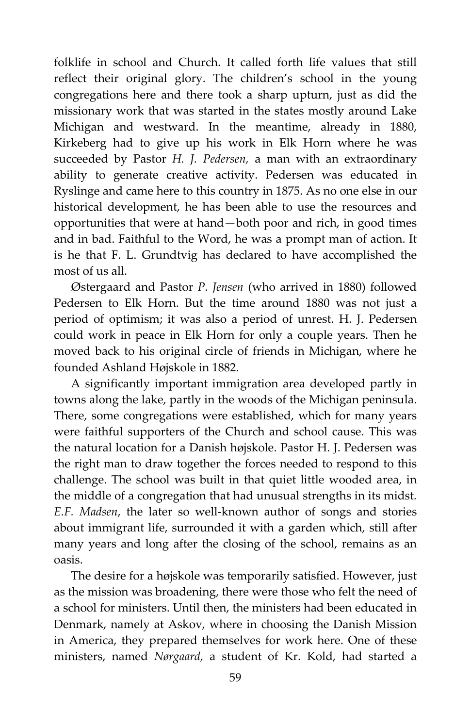folklife in school and Church. It called forth life values that still reflect their original glory. The children's school in the young congregations here and there took a sharp upturn, just as did the missionary work that was started in the states mostly around Lake Michigan and westward. In the meantime, already in 1880, Kirkeberg had to give up his work in Elk Horn where he was succeeded by Pastor *H. J. Pedersen,* a man with an extraordinary ability to generate creative activity. Pedersen was educated in Ryslinge and came here to this country in 1875. As no one else in our historical development, he has been able to use the resources and opportunities that were at hand—both poor and rich, in good times and in bad. Faithful to the Word, he was a prompt man of action. It is he that F. L. Grundtvig has declared to have accomplished the most of us all.

Østergaard and Pastor *P. Jensen* (who arrived in 1880) followed Pedersen to Elk Horn. But the time around 1880 was not just a period of optimism; it was also a period of unrest. H. J. Pedersen could work in peace in Elk Horn for only a couple years. Then he moved back to his original circle of friends in Michigan, where he founded Ashland Højskole in 1882.

A significantly important immigration area developed partly in towns along the lake, partly in the woods of the Michigan peninsula. There, some congregations were established, which for many years were faithful supporters of the Church and school cause. This was the natural location for a Danish højskole. Pastor H. J. Pedersen was the right man to draw together the forces needed to respond to this challenge. The school was built in that quiet little wooded area, in the middle of a congregation that had unusual strengths in its midst*. E.F. Madsen*, the later so well-known author of songs and stories about immigrant life, surrounded it with a garden which, still after many years and long after the closing of the school, remains as an oasis.

The desire for a højskole was temporarily satisfied. However, just as the mission was broadening, there were those who felt the need of a school for ministers. Until then, the ministers had been educated in Denmark, namely at Askov, where in choosing the Danish Mission in America, they prepared themselves for work here. One of these ministers, named *Nørgaard,* a student of Kr. Kold, had started a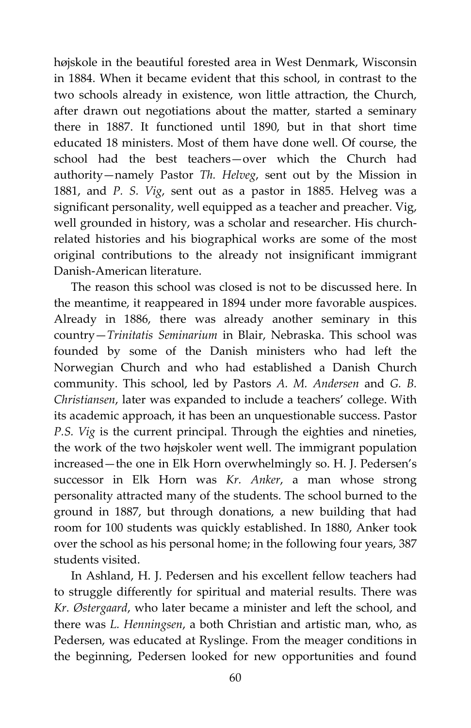højskole in the beautiful forested area in West Denmark, Wisconsin in 1884. When it became evident that this school, in contrast to the two schools already in existence, won little attraction, the Church, after drawn out negotiations about the matter, started a seminary there in 1887. It functioned until 1890, but in that short time educated 18 ministers. Most of them have done well. Of course, the school had the best teachers—over which the Church had authority—namely Pastor *Th. Helveg*, sent out by the Mission in 1881, and *P. S. Vig*, sent out as a pastor in 1885. Helveg was a significant personality, well equipped as a teacher and preacher. Vig, well grounded in history, was a scholar and researcher. His churchrelated histories and his biographical works are some of the most original contributions to the already not insignificant immigrant Danish-American literature.

The reason this school was closed is not to be discussed here. In the meantime, it reappeared in 1894 under more favorable auspices. Already in 1886, there was already another seminary in this country—*Trinitatis Seminarium* in Blair, Nebraska. This school was founded by some of the Danish ministers who had left the Norwegian Church and who had established a Danish Church community. This school, led by Pastors *A. M. Andersen* and *G. B. Christiansen*, later was expanded to include a teachers' college. With its academic approach, it has been an unquestionable success. Pastor *P.S. Vig* is the current principal. Through the eighties and nineties, the work of the two højskoler went well. The immigrant population increased—the one in Elk Horn overwhelmingly so. H. J. Pedersen's successor in Elk Horn was *Kr. Anker*, a man whose strong personality attracted many of the students. The school burned to the ground in 1887, but through donations, a new building that had room for 100 students was quickly established. In 1880, Anker took over the school as his personal home; in the following four years, 387 students visited.

In Ashland, H. J. Pedersen and his excellent fellow teachers had to struggle differently for spiritual and material results. There was *Kr. Østergaard*, who later became a minister and left the school, and there was *L. Henningsen*, a both Christian and artistic man, who, as Pedersen, was educated at Ryslinge. From the meager conditions in the beginning, Pedersen looked for new opportunities and found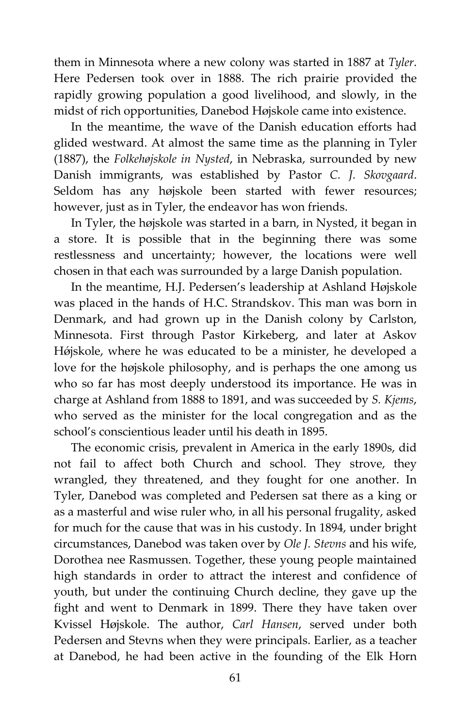them in Minnesota where a new colony was started in 1887 at *Tyler*. Here Pedersen took over in 1888. The rich prairie provided the rapidly growing population a good livelihood, and slowly, in the midst of rich opportunities, Danebod Højskole came into existence.

In the meantime, the wave of the Danish education efforts had glided westward. At almost the same time as the planning in Tyler (1887), the *Folkehøjskole in Nysted*, in Nebraska, surrounded by new Danish immigrants, was established by Pastor *C. J. Skovgaard*. Seldom has any højskole been started with fewer resources; however, just as in Tyler, the endeavor has won friends.

In Tyler, the højskole was started in a barn, in Nysted, it began in a store. It is possible that in the beginning there was some restlessness and uncertainty; however, the locations were well chosen in that each was surrounded by a large Danish population.

In the meantime, H.J. Pedersen's leadership at Ashland Højskole was placed in the hands of H.C. Strandskov. This man was born in Denmark, and had grown up in the Danish colony by Carlston, Minnesota. First through Pastor Kirkeberg, and later at Askov Højskole, where he was educated to be a minister, he developed a love for the højskole philosophy, and is perhaps the one among us who so far has most deeply understood its importance. He was in charge at Ashland from 1888 to 1891, and was succeeded by *S. Kjems*, who served as the minister for the local congregation and as the school's conscientious leader until his death in 1895.

The economic crisis, prevalent in America in the early 1890s, did not fail to affect both Church and school. They strove, they wrangled, they threatened, and they fought for one another. In Tyler, Danebod was completed and Pedersen sat there as a king or as a masterful and wise ruler who, in all his personal frugality, asked for much for the cause that was in his custody. In 1894, under bright circumstances, Danebod was taken over by *Ole J. Stevns* and his wife, Dorothea nee Rasmussen. Together, these young people maintained high standards in order to attract the interest and confidence of youth, but under the continuing Church decline, they gave up the fight and went to Denmark in 1899. There they have taken over Kvissel Højskole. The author, *Carl Hansen*, served under both Pedersen and Stevns when they were principals. Earlier, as a teacher at Danebod, he had been active in the founding of the Elk Horn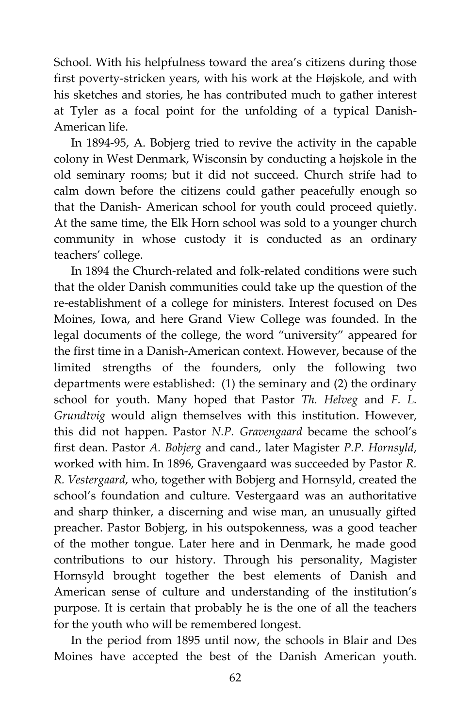School. With his helpfulness toward the area's citizens during those first poverty-stricken years, with his work at the Højskole, and with his sketches and stories, he has contributed much to gather interest at Tyler as a focal point for the unfolding of a typical Danish-American life.

In 1894-95, A. Bobjerg tried to revive the activity in the capable colony in West Denmark, Wisconsin by conducting a højskole in the old seminary rooms; but it did not succeed. Church strife had to calm down before the citizens could gather peacefully enough so that the Danish- American school for youth could proceed quietly. At the same time, the Elk Horn school was sold to a younger church community in whose custody it is conducted as an ordinary teachers' college.

In 1894 the Church-related and folk-related conditions were such that the older Danish communities could take up the question of the re-establishment of a college for ministers. Interest focused on Des Moines, Iowa, and here Grand View College was founded. In the legal documents of the college, the word "university" appeared for the first time in a Danish-American context. However, because of the limited strengths of the founders, only the following two departments were established: (1) the seminary and (2) the ordinary school for youth. Many hoped that Pastor *Th. Helveg* and *F. L. Grundtvig* would align themselves with this institution. However, this did not happen. Pastor *N.P. Gravengaard* became the school's first dean. Pastor *A. Bobjerg* and cand., later Magister *P.P. Hornsyld*, worked with him. In 1896, Gravengaard was succeeded by Pastor *R. R. Vestergaard*, who, together with Bobjerg and Hornsyld, created the school's foundation and culture. Vestergaard was an authoritative and sharp thinker, a discerning and wise man, an unusually gifted preacher. Pastor Bobjerg, in his outspokenness, was a good teacher of the mother tongue. Later here and in Denmark, he made good contributions to our history. Through his personality, Magister Hornsyld brought together the best elements of Danish and American sense of culture and understanding of the institution's purpose. It is certain that probably he is the one of all the teachers for the youth who will be remembered longest.

In the period from 1895 until now, the schools in Blair and Des Moines have accepted the best of the Danish American youth.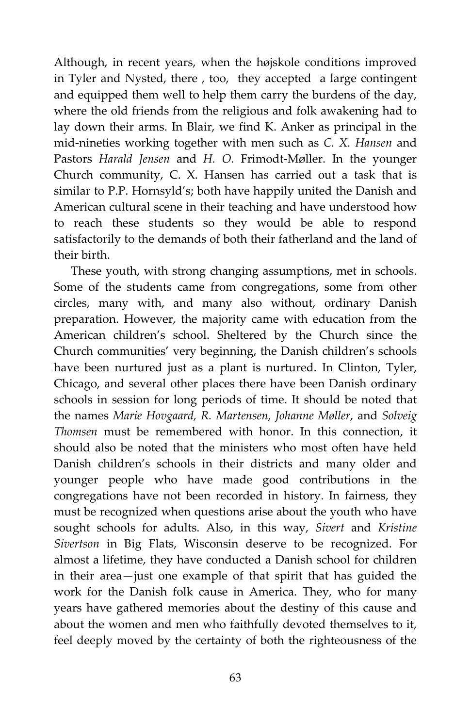Although, in recent years, when the højskole conditions improved in Tyler and Nysted, there , too, they accepted a large contingent and equipped them well to help them carry the burdens of the day, where the old friends from the religious and folk awakening had to lay down their arms. In Blair, we find K. Anker as principal in the mid-nineties working together with men such as *C. X. Hansen* and Pastors *Harald Jensen* and *H. O.* Frimodt-Møller. In the younger Church community, C. X. Hansen has carried out a task that is similar to P.P. Hornsyld's; both have happily united the Danish and American cultural scene in their teaching and have understood how to reach these students so they would be able to respond satisfactorily to the demands of both their fatherland and the land of their birth.

These youth, with strong changing assumptions, met in schools. Some of the students came from congregations, some from other circles, many with, and many also without, ordinary Danish preparation. However, the majority came with education from the American children's school. Sheltered by the Church since the Church communities' very beginning, the Danish children's schools have been nurtured just as a plant is nurtured. In Clinton, Tyler, Chicago, and several other places there have been Danish ordinary schools in session for long periods of time. It should be noted that the names *Marie Hovgaard, R. Martensen, Johanne Møller*, and *Solveig Thomsen* must be remembered with honor. In this connection, it should also be noted that the ministers who most often have held Danish children's schools in their districts and many older and younger people who have made good contributions in the congregations have not been recorded in history. In fairness, they must be recognized when questions arise about the youth who have sought schools for adults. Also, in this way, *Sivert* and *Kristine Sivertson* in Big Flats, Wisconsin deserve to be recognized. For almost a lifetime, they have conducted a Danish school for children in their area—just one example of that spirit that has guided the work for the Danish folk cause in America. They, who for many years have gathered memories about the destiny of this cause and about the women and men who faithfully devoted themselves to it, feel deeply moved by the certainty of both the righteousness of the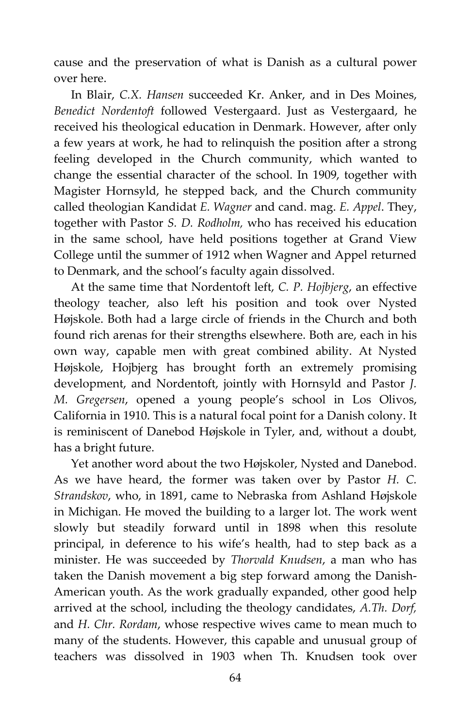cause and the preservation of what is Danish as a cultural power over here.

In Blair, *C.X. Hansen* succeeded Kr. Anker, and in Des Moines, *Benedict Nordentoft* followed Vestergaard. Just as Vestergaard, he received his theological education in Denmark. However, after only a few years at work, he had to relinquish the position after a strong feeling developed in the Church community, which wanted to change the essential character of the school. In 1909, together with Magister Hornsyld, he stepped back, and the Church community called theologian Kandidat *E. Wagner* and cand. mag. *E. Appel*. They, together with Pastor *S. D. Rodholm,* who has received his education in the same school, have held positions together at Grand View College until the summer of 1912 when Wagner and Appel returned to Denmark, and the school's faculty again dissolved.

At the same time that Nordentoft left, *C. P. Hojbjerg*, an effective theology teacher, also left his position and took over Nysted Højskole. Both had a large circle of friends in the Church and both found rich arenas for their strengths elsewhere. Both are, each in his own way, capable men with great combined ability. At Nysted Højskole, Hojbjerg has brought forth an extremely promising development, and Nordentoft, jointly with Hornsyld and Pastor *J. M. Gregersen*, opened a young people's school in Los Olivos, California in 1910. This is a natural focal point for a Danish colony. It is reminiscent of Danebod Højskole in Tyler, and, without a doubt, has a bright future.

Yet another word about the two Højskoler, Nysted and Danebod. As we have heard, the former was taken over by Pastor *H. C. Strandskov*, who, in 1891, came to Nebraska from Ashland Højskole in Michigan. He moved the building to a larger lot. The work went slowly but steadily forward until in 1898 when this resolute principal, in deference to his wife's health, had to step back as a minister. He was succeeded by *Thorvald Knudsen*, a man who has taken the Danish movement a big step forward among the Danish-American youth. As the work gradually expanded, other good help arrived at the school, including the theology candidates, *A.Th. Dorf,* and *H. Chr. Rordam*, whose respective wives came to mean much to many of the students. However, this capable and unusual group of teachers was dissolved in 1903 when Th. Knudsen took over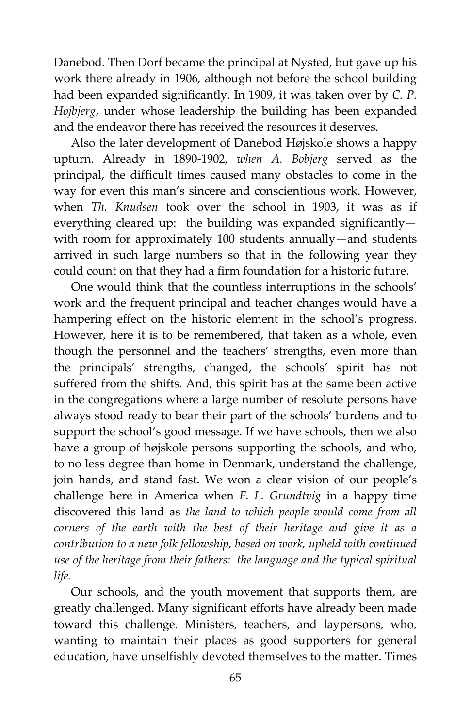Danebod. Then Dorf became the principal at Nysted, but gave up his work there already in 1906, although not before the school building had been expanded significantly. In 1909, it was taken over by *C. P. Hojbjerg*, under whose leadership the building has been expanded and the endeavor there has received the resources it deserves.

Also the later development of Danebod Højskole shows a happy upturn. Already in 1890-1902, *when A. Bobjerg* served as the principal, the difficult times caused many obstacles to come in the way for even this man's sincere and conscientious work. However, when *Th. Knudsen* took over the school in 1903, it was as if everything cleared up: the building was expanded significantly with room for approximately 100 students annually—and students arrived in such large numbers so that in the following year they could count on that they had a firm foundation for a historic future.

One would think that the countless interruptions in the schools' work and the frequent principal and teacher changes would have a hampering effect on the historic element in the school's progress. However, here it is to be remembered, that taken as a whole, even though the personnel and the teachers' strengths, even more than the principals' strengths, changed, the schools' spirit has not suffered from the shifts. And, this spirit has at the same been active in the congregations where a large number of resolute persons have always stood ready to bear their part of the schools' burdens and to support the school's good message. If we have schools, then we also have a group of højskole persons supporting the schools, and who, to no less degree than home in Denmark, understand the challenge, join hands, and stand fast. We won a clear vision of our people's challenge here in America when *F. L. Grundtvig* in a happy time discovered this land as *the land to which people would come from all corners of the earth with the best of their heritage and give it as a contribution to a new folk fellowship, based on work, upheld with continued use of the heritage from their fathers: the language and the typical spiritual life.*

Our schools, and the youth movement that supports them, are greatly challenged. Many significant efforts have already been made toward this challenge. Ministers, teachers, and laypersons, who, wanting to maintain their places as good supporters for general education, have unselfishly devoted themselves to the matter. Times